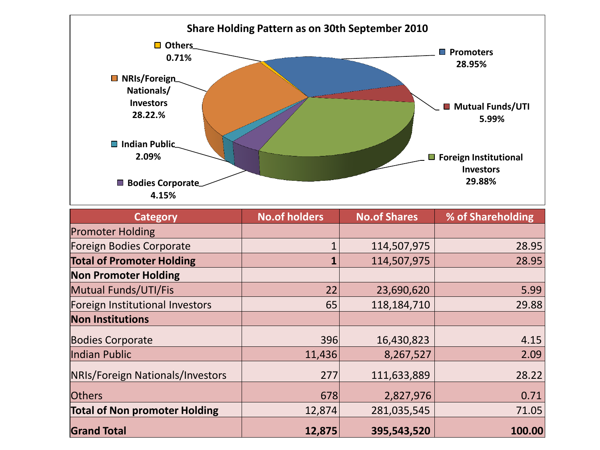

| <b>Category</b>                      | <b>No.of holders</b> | <b>No.of Shares</b> | % of Shareholding |
|--------------------------------------|----------------------|---------------------|-------------------|
| <b>Promoter Holding</b>              |                      |                     |                   |
| Foreign Bodies Corporate             |                      | 114,507,975         | 28.95             |
| <b>Total of Promoter Holding</b>     | 1                    | 114,507,975         | 28.95             |
| <b>Non Promoter Holding</b>          |                      |                     |                   |
| Mutual Funds/UTI/Fis                 | 22                   | 23,690,620          | 5.99              |
| Foreign Institutional Investors      | 65                   | 118,184,710         | 29.88             |
| <b>Non Institutions</b>              |                      |                     |                   |
| <b>Bodies Corporate</b>              | 396                  | 16,430,823          | 4.15              |
| Indian Public                        | 11,436               | 8,267,527           | 2.09              |
| NRIs/Foreign Nationals/Investors     | 277                  | 111,633,889         | 28.22             |
| <b>Others</b>                        | 678                  | 2,827,976           | 0.71              |
| <b>Total of Non promoter Holding</b> | 12,874               | 281,035,545         | 71.05             |
| <b>Grand Total</b>                   | 12,875               | 395,543,520         | 100.00            |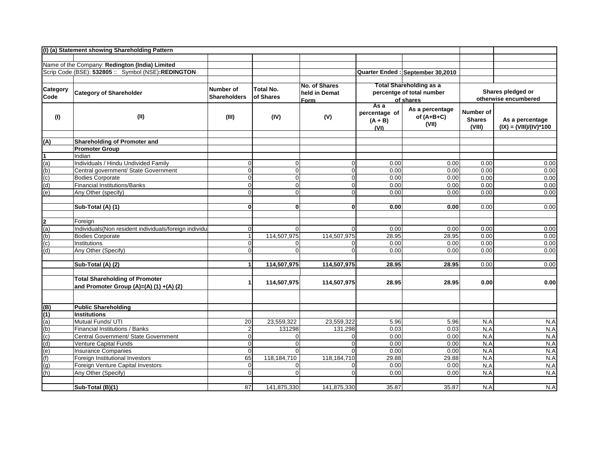|          | (I) (a) Statement showing Shareholding Pattern            |                     |                  |               |                            |                                          |                                           |                          |
|----------|-----------------------------------------------------------|---------------------|------------------|---------------|----------------------------|------------------------------------------|-------------------------------------------|--------------------------|
|          |                                                           |                     |                  |               |                            |                                          |                                           |                          |
|          | Name of the Company: Redington (India) Limited            |                     |                  |               |                            |                                          |                                           |                          |
|          | Scrip Code (BSE): 532805 :: Symbol (NSE):REDINGTON        |                     |                  |               |                            | Quarter Ended : September 30,2010        |                                           |                          |
|          |                                                           |                     |                  |               |                            |                                          |                                           |                          |
| Category |                                                           | Number of           | <b>Total No.</b> | No. of Shares |                            | <b>Total Shareholding as a</b>           |                                           |                          |
| Code     | <b>Category of Shareholder</b>                            | <b>Shareholders</b> | of Shares        | held in Demat |                            | percentge of total number                | Shares pledged or<br>otherwise encumbered |                          |
|          |                                                           |                     |                  | <u>Form</u>   | As a                       | of shares                                |                                           |                          |
| (1)      | (II)                                                      | (III)               | (IV)             | (V)           | percentage of<br>$(A + B)$ | As a percentage<br>of $(A+B+C)$<br>(VII) | <b>Number of</b><br><b>Shares</b>         | As a percentage          |
|          |                                                           |                     |                  |               | (VI)                       |                                          | (VIII)                                    | $(IX) = (VIII)/(IV)*100$ |
| (A)      | Shareholding of Promoter and                              |                     |                  |               |                            |                                          |                                           |                          |
|          | <b>Promoter Group</b>                                     |                     |                  |               |                            |                                          |                                           |                          |
|          | Indian                                                    |                     |                  |               |                            |                                          |                                           |                          |
| (a)      | Individuals / Hindu Undivided Family                      | 0                   | 0                | 0             | 0.00                       | 0.00                                     | 0.00                                      | 0.00                     |
| (b)      | Central government/ State Government                      | $\mathbf 0$         | 0                | $\mathbf 0$   | 0.00                       | 0.00                                     | 0.00                                      | 0.00                     |
| (c)      | <b>Bodies Corporate</b>                                   | $\mathbf 0$         | 0                | $\mathbf 0$   | 0.00                       | 0.00                                     | 0.00                                      | 0.00                     |
| (d)      | <b>Financial Institutions/Banks</b>                       | $\mathbf 0$         | $\Omega$         | $\mathbf 0$   | 0.00                       | 0.00                                     | 0.00                                      | 0.00                     |
| (e)      | Any Other (specify)                                       | $\mathbf 0$         | 0                | $\mathbf 0$   | 0.00                       | 0.00                                     | 0.00                                      | 0.00                     |
|          | Sub-Total (A) (1)                                         | $\mathbf{0}$        | Οl               | $\mathbf{0}$  | 0.00                       | 0.00                                     | 0.00                                      | 0.00                     |
|          |                                                           |                     |                  |               |                            |                                          |                                           |                          |
| 2        | Foreign                                                   |                     |                  |               |                            |                                          |                                           |                          |
| (a)      | Individuals(Non resident individuals/foreign individuals) | 0                   | O                | $\Omega$      | 0.00                       | 0.00                                     | 0.00                                      | 0.00                     |
| (b)      | <b>Bodies Corporate</b>                                   | $\mathbf{1}$        | 114,507,975      | 114,507,975   | 28.95                      | 28.95                                    | 0.00                                      | 0.00                     |
| (c)      | Institutions                                              | 0                   | 0                | 0             | 0.00                       | 0.00                                     | 0.00                                      | 0.00                     |
| (d)      | Any Other (Specify)                                       | $\Omega$            | $\Omega$         | $\Omega$      | 0.00                       | 0.00                                     | 0.00                                      | 0.00                     |
|          | Sub-Total (A) (2)                                         | 1                   | 114,507,975      | 114,507,975   | 28.95                      | 28.95                                    | 0.00                                      | 0.00                     |
|          | <b>Total Shareholding of Promoter</b>                     |                     |                  |               |                            |                                          |                                           |                          |
|          | and Promoter Group (A)=(A) (1) +(A) (2)                   | 1                   | 114,507,975      | 114,507,975   | 28.95                      | 28.95                                    | 0.00                                      | 0.00                     |
|          |                                                           |                     |                  |               |                            |                                          |                                           |                          |
| (B)      | <b>Public Shareholding</b>                                |                     |                  |               |                            |                                          |                                           |                          |
| (1)      | <b>Institutions</b>                                       |                     |                  |               |                            |                                          |                                           |                          |
| (a)      | Mutual Funds/ UTI                                         | 20                  | 23,559,322       | 23,559,322    | 5.96                       | 5.96                                     | N.A                                       | N.A                      |
| (b)      | Financial Institutions / Banks                            | $\mathbf 2$         | 131298           | 131,298       | 0.03                       | 0.03                                     | N.A                                       | N.A                      |
| (c)      | Central Government/ State Government                      | 0                   | $\Omega$         | $\Omega$      | 0.00                       | 0.00                                     | N.A                                       | N.A                      |
| (d)      | Venture Capital Funds                                     | $\mathbf 0$         | 0                | $\mathbf 0$   | 0.00                       | 0.00                                     | N.A                                       | N.A                      |
| (e)      | <b>Insurance Companies</b>                                | $\mathbf 0$         | $\Omega$         | $\Omega$      | 0.00                       | 0.00                                     | N.A                                       | N.A                      |
| (f)      | Foreign Institutional Investors                           | 65                  | 118,184,710      | 118,184,710   | 29.88                      | 29.88                                    | N.A                                       | N.A                      |
| (q)      | Foreign Venture Capital Investors                         | $\mathbf 0$         | 0                | $\Omega$      | 0.00                       | 0.00                                     | N.A                                       | N.A                      |
| (h)      | Any Other (Specify)                                       | $\mathbf 0$         | $\Omega$         |               | 0.00                       | 0.00                                     | N.A                                       | N.A                      |
|          |                                                           |                     |                  |               |                            |                                          |                                           |                          |
|          | Sub-Total (B)(1)                                          | 87                  | 141,875,330      | 141,875,330   | 35.87                      | 35.87                                    | N.A                                       | N.A                      |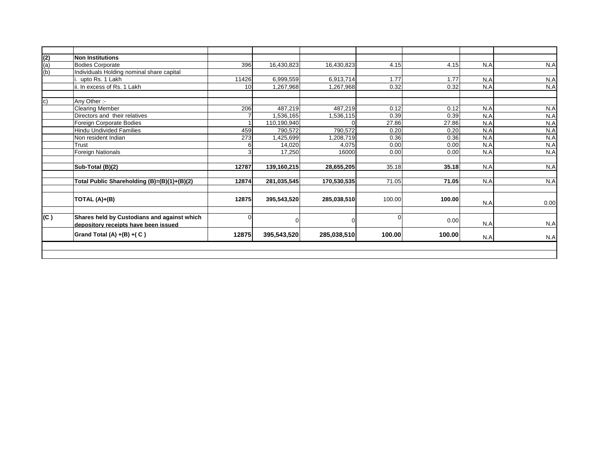| 396                                                           | 16,430,823  | 16,430,823  | 4.15   | 4.15        | N.A    | N.A    |
|---------------------------------------------------------------|-------------|-------------|--------|-------------|--------|--------|
|                                                               |             |             |        |             |        |        |
| 11426                                                         | 6,999,559   | 6,913,714   | 1.77   | 1.77        | N.A    | N.A    |
| 10 <sup>1</sup>                                               | 1,267,968   | 1,267,968   | 0.32   | 0.32        | N.A    | N.A    |
|                                                               |             |             |        |             |        |        |
| 206                                                           | 487,219     | 487,219     | 0.12   | 0.12        | N.A    | N.A    |
|                                                               | 1,536,165   | 1,536,115   | 0.39   | 0.39        | N.A    | N.A    |
|                                                               | 110,190,940 |             | 27.86  | 27.86       | N.A    | N.A    |
| 459                                                           | 790,572     | 790.572     | 0.20   | 0.20        | N.A    | N.A    |
| 273                                                           | 1,425,699   | 1,208,719   | 0.36   | 0.36        | N.A    | N.A    |
| 6                                                             | 14,020      | 4,075       | 0.00   | 0.00        | N.A    | N.A    |
| 3                                                             | 17,250      | 16000       | 0.00   | 0.00        | N.A    | N.A    |
| 12787                                                         | 139,160,215 | 28,655,205  | 35.18  | 35.18       | N.A    | N.A    |
| 12874<br>Total Public Shareholding (B)=(B)(1)+(B)(2)          | 281,035,545 | 170,530,535 | 71.05  | 71.05       | N.A    | N.A    |
| 12875                                                         | 395,543,520 | 285,038,510 | 100.00 | 100.00      | N.A    | 0.00   |
| Shares held by Custodians and against which<br>$\overline{0}$ |             | $\Omega$    |        | 0.00        | N.A    | N.A    |
| 12875                                                         | 395,543,520 |             |        |             | N.A    | N.A    |
|                                                               |             |             |        | 285,038,510 | 100.00 | 100.00 |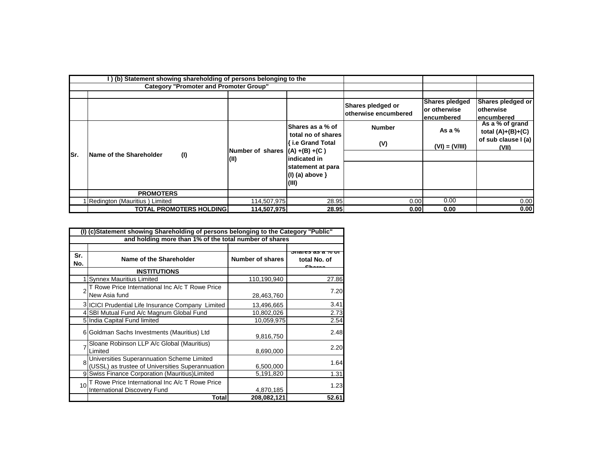|      | (b) Statement showing shareholding of persons belonging to the |             |                                                                                                                     |                                                   |                      |                     |
|------|----------------------------------------------------------------|-------------|---------------------------------------------------------------------------------------------------------------------|---------------------------------------------------|----------------------|---------------------|
|      | <b>Category "Promoter and Promoter Group"</b>                  |             |                                                                                                                     |                                                   |                      |                     |
|      |                                                                |             |                                                                                                                     |                                                   |                      |                     |
|      |                                                                |             |                                                                                                                     | Shares pledged or<br><b>lotherwise encumbered</b> | Shares pledged       | Shares pledged or   |
|      |                                                                |             |                                                                                                                     |                                                   | <b>lor otherwise</b> | <b>lotherwise</b>   |
|      |                                                                |             |                                                                                                                     |                                                   | encumbered           | lencumbered         |
|      |                                                                | (11)        | <b>Shares as a % of</b>                                                                                             | <b>Number</b>                                     | As a $%$             | As a % of grand     |
| lSr. | (1)<br>Name of the Shareholder                                 |             | total no of shares<br>{ i.e Grand Total<br>Number of shares $(A) + (B) + (C)$<br>lindicated in<br>statement at para |                                                   |                      | total $(A)+(B)+(C)$ |
|      |                                                                |             |                                                                                                                     | (V)                                               |                      | of sub clause I (a) |
|      |                                                                |             |                                                                                                                     |                                                   | $(VI) = (V/III)$     | (VII)               |
|      |                                                                |             |                                                                                                                     |                                                   |                      |                     |
|      |                                                                |             |                                                                                                                     |                                                   |                      |                     |
|      |                                                                |             | $(1)$ (a) above $\}$                                                                                                |                                                   |                      |                     |
|      |                                                                |             | (III)                                                                                                               |                                                   |                      |                     |
|      |                                                                |             |                                                                                                                     |                                                   |                      |                     |
|      | <b>PROMOTERS</b>                                               |             |                                                                                                                     |                                                   |                      |                     |
|      | 1 Redington (Mauritius) Limited                                | 114,507,975 | 28.95                                                                                                               | 0.00                                              | 0.00                 | 0.00                |
|      | <b>TOTAL PROMOTERS HOLDING</b>                                 | 114,507,975 | 28.95                                                                                                               | 0.00                                              | 0.00                 | 0.00                |

| (c)Statement showing Shareholding of persons belonging to the Category "Public" |                                                                                                |                         |              |  |  |  |
|---------------------------------------------------------------------------------|------------------------------------------------------------------------------------------------|-------------------------|--------------|--|--|--|
| and holding more than 1% of the total number of shares                          |                                                                                                |                         |              |  |  |  |
| Sr.<br>No.                                                                      | Name of the Shareholder                                                                        | <b>Number of shares</b> | total No. of |  |  |  |
|                                                                                 | <b>INSTITUTIONS</b>                                                                            |                         |              |  |  |  |
|                                                                                 | <b>Synnex Mauritius Limited</b>                                                                | 110,190,940             | 27.86        |  |  |  |
|                                                                                 | T Rowe Price International Inc A/c T Rowe Price<br>New Asia fund                               | 28,463,760              | 7.20         |  |  |  |
|                                                                                 | 3 ICICI Prudential Life Insurance Company Limited                                              | 13,496,665              | 3.41         |  |  |  |
|                                                                                 | 4 SBI Mutual Fund A/c Magnum Global Fund                                                       | 10,802,026              | 2.73         |  |  |  |
|                                                                                 | 5 India Capital Fund limited                                                                   | 10,059,975              | 2.54         |  |  |  |
|                                                                                 | Goldman Sachs Investments (Mauritius) Ltd                                                      | 9,816,750               | 2.48         |  |  |  |
|                                                                                 | Sloane Robinson LLP A/c Global (Mauritius)<br>Limited                                          | 8,690,000               | 2.20         |  |  |  |
| 8                                                                               | Universities Superannuation Scheme Limited<br>(USSL) as trustee of Universities Superannuation | 6,500,000               | 1.64         |  |  |  |
|                                                                                 | 9 Swiss Finance Corporation (Mauritius) Limited                                                | 5,191,820               | 1.31         |  |  |  |
| 10                                                                              | T Rowe Price International Inc A/c T Rowe Price<br><b>International Discovery Fund</b>         | 4,870,185               | 1.23         |  |  |  |
|                                                                                 | Total                                                                                          | 208,082,121             | 52.61        |  |  |  |